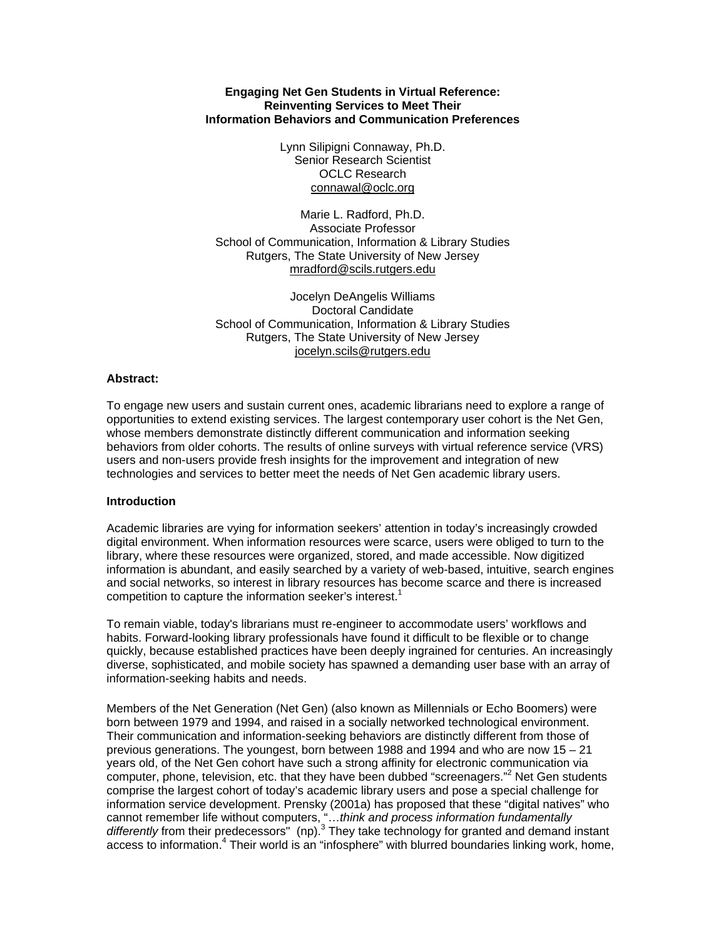### **Engaging Net Gen Students in Virtual Reference: Reinventing Services to Meet Their Information Behaviors and Communication Preferences**

Lynn Silipigni Connaway, Ph.D. Senior Research Scientist OCLC Research [connawal@oclc.org](mailto:connawal@oclc.org)

Marie L. Radford, Ph.D. Associate Professor School of Communication, Information & Library Studies Rutgers, The State University of New Jersey [mradford@scils.rutgers.edu](mailto:mradford@scils.rutgers.edu)

Jocelyn DeAngelis Williams Doctoral Candidate School of Communication, Information & Library Studies Rutgers, The State University of New Jersey [jocelyn.scils@rutgers.edu](mailto:jocelyn.scils@rutgers.edu)

#### **Abstract:**

To engage new users and sustain current ones, academic librarians need to explore a range of opportunities to extend existing services. The largest contemporary user cohort is the Net Gen, whose members demonstrate distinctly different communication and information seeking behaviors from older cohorts. The results of online surveys with virtual reference service (VRS) users and non-users provide fresh insights for the improvement and integration of new technologies and services to better meet the needs of Net Gen academic library users.

### **Introduction**

Academic libraries are vying for information seekers' attention in today's increasingly crowded digital environment. When information resources were scarce, users were obliged to turn to the library, where these resources were organized, stored, and made accessible. Now digitized information is abundant, and easily searched by a variety of web-based, intuitive, search engines and social networks, so interest in library resources has become scarce and there is increased competition to capture the information seeker's interest.<sup>1</sup>

To remain viable, today's librarians must re-engineer to accommodate users' workflows and habits. Forward-looking library professionals have found it difficult to be flexible or to change quickly, because established practices have been deeply ingrained for centuries. An increasingly diverse, sophisticated, and mobile society has spawned a demanding user base with an array of information-seeking habits and needs.

Members of the Net Generation (Net Gen) (also known as Millennials or Echo Boomers) were born between 1979 and 1994, and raised in a socially networked technological environment. Their communication and information-seeking behaviors are distinctly different from those of previous generations. The youngest, born between 1988 and 1994 and who are now 15 – 21 years old, of the Net Gen cohort have such a strong affinity for electronic communication via computer, phone, television, etc. that they have been dubbed "screenagers."<sup>2</sup> Net Gen students comprise the largest cohort of today's academic library users and pose a special challenge for information service development. Prensky (2001a) has proposed that these "digital natives" who cannot remember life without computers, "…*think and process information fundamentally*  differently from their predecessors" (np).<sup>3</sup> They take technology for granted and demand instant access to information.<sup>4</sup> Their world is an "infosphere" with blurred boundaries linking work, home,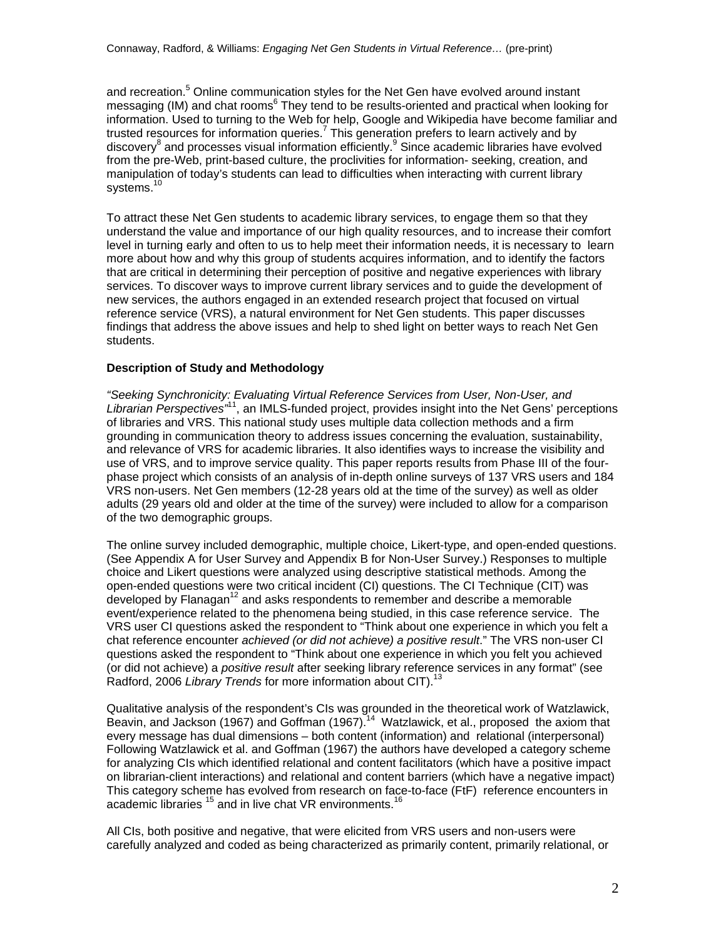and recreation.<sup>5</sup> Online communication styles for the Net Gen have evolved around instant messaging (IM) and chat rooms<sup>6</sup> They tend to be results-oriented and practical when looking for information. Used to turning to the Web for help, Google and Wikipedia have become familiar and trusted resources for information queries.<sup>7</sup> This generation prefers to learn actively and by discovery<sup>8</sup> and processes visual information efficiently.<sup>9</sup> Since academic libraries have evolved from the pre-Web, print-based culture, the proclivities for information- seeking, creation, and manipulation of today's students can lead to difficulties when interacting with current library systems.<sup>10</sup>

To attract these Net Gen students to academic library services, to engage them so that they understand the value and importance of our high quality resources, and to increase their comfort level in turning early and often to us to help meet their information needs, it is necessary to learn more about how and why this group of students acquires information, and to identify the factors that are critical in determining their perception of positive and negative experiences with library services. To discover ways to improve current library services and to guide the development of new services, the authors engaged in an extended research project that focused on virtual reference service (VRS), a natural environment for Net Gen students. This paper discusses findings that address the above issues and help to shed light on better ways to reach Net Gen students.

# **Description of Study and Methodology**

*"Seeking Synchronicity: Evaluating Virtual Reference Services from User, Non-User, and Librarian Perspectives"*11, an IMLS-funded project, provides insight into the Net Gens' perceptions of libraries and VRS. This national study uses multiple data collection methods and a firm grounding in communication theory to address issues concerning the evaluation, sustainability, and relevance of VRS for academic libraries. It also identifies ways to increase the visibility and use of VRS, and to improve service quality. This paper reports results from Phase III of the fourphase project which consists of an analysis of in-depth online surveys of 137 VRS users and 184 VRS non-users. Net Gen members (12-28 years old at the time of the survey) as well as older adults (29 years old and older at the time of the survey) were included to allow for a comparison of the two demographic groups.

The online survey included demographic, multiple choice, Likert-type, and open-ended questions. (See Appendix A for User Survey and Appendix B for Non-User Survey.) Responses to multiple choice and Likert questions were analyzed using descriptive statistical methods. Among the open-ended questions were two critical incident (CI) questions. The CI Technique (CIT) was developed by Flanagan<sup>12</sup> and asks respondents to remember and describe a memorable event/experience related to the phenomena being studied, in this case reference service. The VRS user CI questions asked the respondent to "Think about one experience in which you felt a chat reference encounter *achieved (or did not achieve) a positive result*." The VRS non-user CI questions asked the respondent to "Think about one experience in which you felt you achieved (or did not achieve) a *positive result* after seeking library reference services in any format" (see Radford, 2006 *Library Trends* for more information about CIT).<sup>13</sup>

Qualitative analysis of the respondent's CIs was grounded in the theoretical work of Watzlawick, Beavin, and Jackson (1967) and Goffman (1967).<sup>14</sup> Watzlawick, et al., proposed the axiom that every message has dual dimensions – both content (information) and relational (interpersonal) Following Watzlawick et al. and Goffman (1967) the authors have developed a category scheme for analyzing CIs which identified relational and content facilitators (which have a positive impact on librarian-client interactions) and relational and content barriers (which have a negative impact) This category scheme has evolved from research on face-to-face (FtF) reference encounters in academic libraries <sup>15</sup> and in live chat VR environments.<sup>1</sup>

All CIs, both positive and negative, that were elicited from VRS users and non-users were carefully analyzed and coded as being characterized as primarily content, primarily relational, or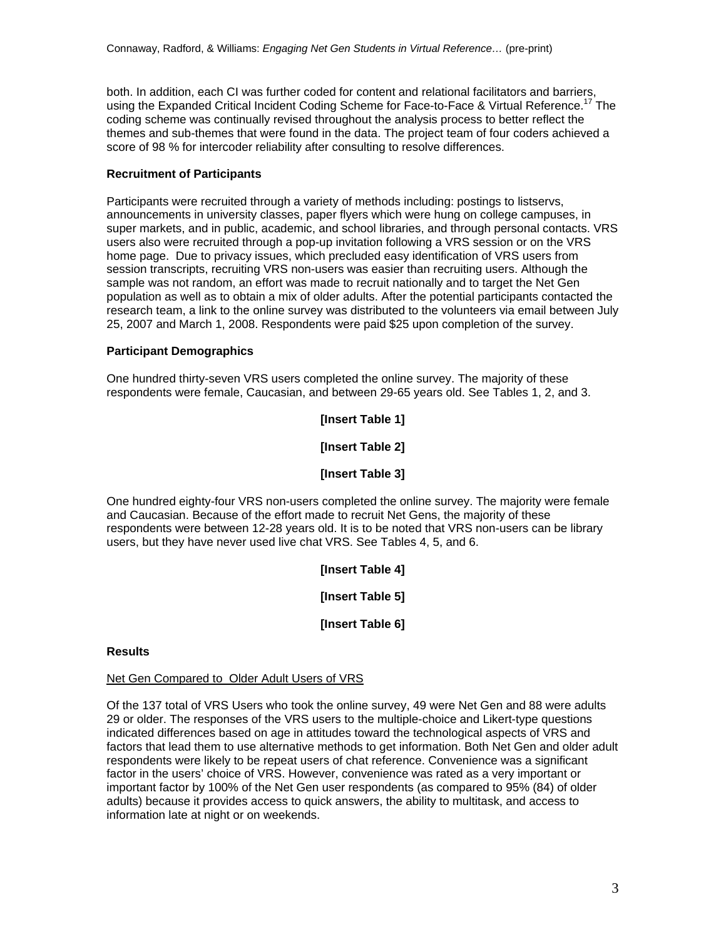both. In addition, each CI was further coded for content and relational facilitators and barriers, using the Expanded Critical Incident Coding Scheme for Face-to-Face & Virtual Reference.<sup>17</sup> The coding scheme was continually revised throughout the analysis process to better reflect the themes and sub-themes that were found in the data. The project team of four coders achieved a score of 98 % for intercoder reliability after consulting to resolve differences.

# **Recruitment of Participants**

Participants were recruited through a variety of methods including: postings to listservs, announcements in university classes, paper flyers which were hung on college campuses, in super markets, and in public, academic, and school libraries, and through personal contacts. VRS users also were recruited through a pop-up invitation following a VRS session or on the VRS home page. Due to privacy issues, which precluded easy identification of VRS users from session transcripts, recruiting VRS non-users was easier than recruiting users. Although the sample was not random, an effort was made to recruit nationally and to target the Net Gen population as well as to obtain a mix of older adults. After the potential participants contacted the research team, a link to the online survey was distributed to the volunteers via email between July 25, 2007 and March 1, 2008. Respondents were paid \$25 upon completion of the survey.

# **Participant Demographics**

One hundred thirty-seven VRS users completed the online survey. The majority of these respondents were female, Caucasian, and between 29-65 years old. See Tables 1, 2, and 3.

**[Insert Table 1]** 

**[Insert Table 2]** 

# **[Insert Table 3]**

One hundred eighty-four VRS non-users completed the online survey. The majority were female and Caucasian. Because of the effort made to recruit Net Gens, the majority of these respondents were between 12-28 years old. It is to be noted that VRS non-users can be library users, but they have never used live chat VRS. See Tables 4, 5, and 6.

**[Insert Table 4]** 

**[Insert Table 5]** 

**[Insert Table 6]** 

### **Results**

### Net Gen Compared to Older Adult Users of VRS

Of the 137 total of VRS Users who took the online survey, 49 were Net Gen and 88 were adults 29 or older. The responses of the VRS users to the multiple-choice and Likert-type questions indicated differences based on age in attitudes toward the technological aspects of VRS and factors that lead them to use alternative methods to get information. Both Net Gen and older adult respondents were likely to be repeat users of chat reference. Convenience was a significant factor in the users' choice of VRS. However, convenience was rated as a very important or important factor by 100% of the Net Gen user respondents (as compared to 95% (84) of older adults) because it provides access to quick answers, the ability to multitask, and access to information late at night or on weekends.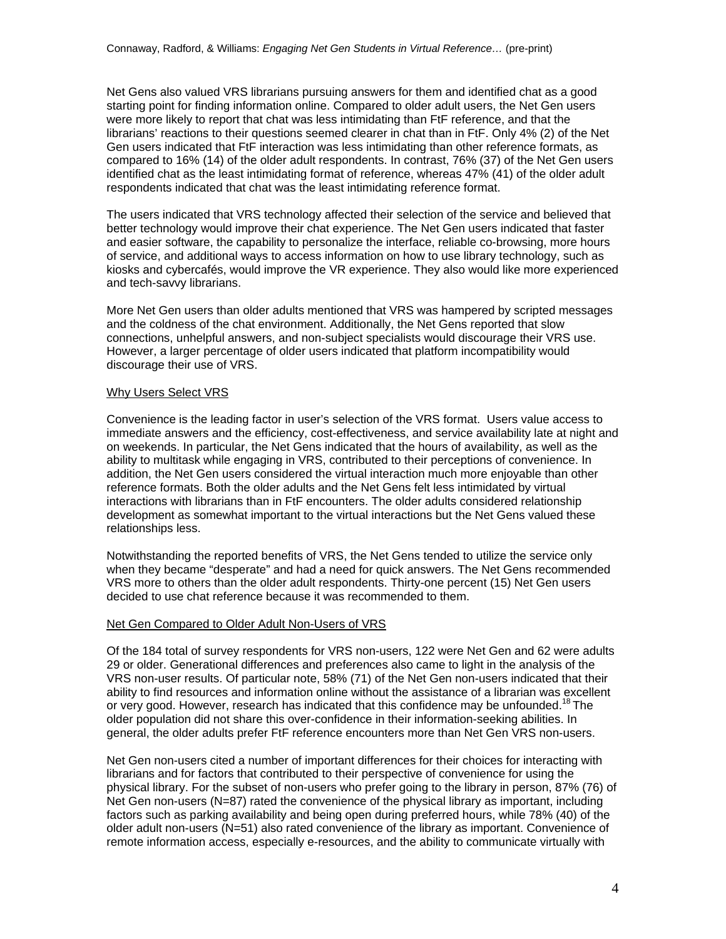Net Gens also valued VRS librarians pursuing answers for them and identified chat as a good starting point for finding information online. Compared to older adult users, the Net Gen users were more likely to report that chat was less intimidating than FtF reference, and that the librarians' reactions to their questions seemed clearer in chat than in FtF. Only 4% (2) of the Net Gen users indicated that FtF interaction was less intimidating than other reference formats, as compared to 16% (14) of the older adult respondents. In contrast, 76% (37) of the Net Gen users identified chat as the least intimidating format of reference, whereas 47% (41) of the older adult respondents indicated that chat was the least intimidating reference format.

The users indicated that VRS technology affected their selection of the service and believed that better technology would improve their chat experience. The Net Gen users indicated that faster and easier software, the capability to personalize the interface, reliable co-browsing, more hours of service, and additional ways to access information on how to use library technology, such as kiosks and cybercafés, would improve the VR experience. They also would like more experienced and tech-savvy librarians.

More Net Gen users than older adults mentioned that VRS was hampered by scripted messages and the coldness of the chat environment. Additionally, the Net Gens reported that slow connections, unhelpful answers, and non-subject specialists would discourage their VRS use. However, a larger percentage of older users indicated that platform incompatibility would discourage their use of VRS.

# Why Users Select VRS

Convenience is the leading factor in user's selection of the VRS format. Users value access to immediate answers and the efficiency, cost-effectiveness, and service availability late at night and on weekends. In particular, the Net Gens indicated that the hours of availability, as well as the ability to multitask while engaging in VRS, contributed to their perceptions of convenience. In addition, the Net Gen users considered the virtual interaction much more enjoyable than other reference formats. Both the older adults and the Net Gens felt less intimidated by virtual interactions with librarians than in FtF encounters. The older adults considered relationship development as somewhat important to the virtual interactions but the Net Gens valued these relationships less.

Notwithstanding the reported benefits of VRS, the Net Gens tended to utilize the service only when they became "desperate" and had a need for quick answers. The Net Gens recommended VRS more to others than the older adult respondents. Thirty-one percent (15) Net Gen users decided to use chat reference because it was recommended to them.

# Net Gen Compared to Older Adult Non-Users of VRS

Of the 184 total of survey respondents for VRS non-users, 122 were Net Gen and 62 were adults 29 or older. Generational differences and preferences also came to light in the analysis of the VRS non-user results. Of particular note, 58% (71) of the Net Gen non-users indicated that their ability to find resources and information online without the assistance of a librarian was excellent or very good. However, research has indicated that this confidence may be unfounded.<sup>18</sup> The older population did not share this over-confidence in their information-seeking abilities. In general, the older adults prefer FtF reference encounters more than Net Gen VRS non-users.

Net Gen non-users cited a number of important differences for their choices for interacting with librarians and for factors that contributed to their perspective of convenience for using the physical library. For the subset of non-users who prefer going to the library in person, 87% (76) of Net Gen non-users (N=87) rated the convenience of the physical library as important, including factors such as parking availability and being open during preferred hours, while 78% (40) of the older adult non-users (N=51) also rated convenience of the library as important. Convenience of remote information access, especially e-resources, and the ability to communicate virtually with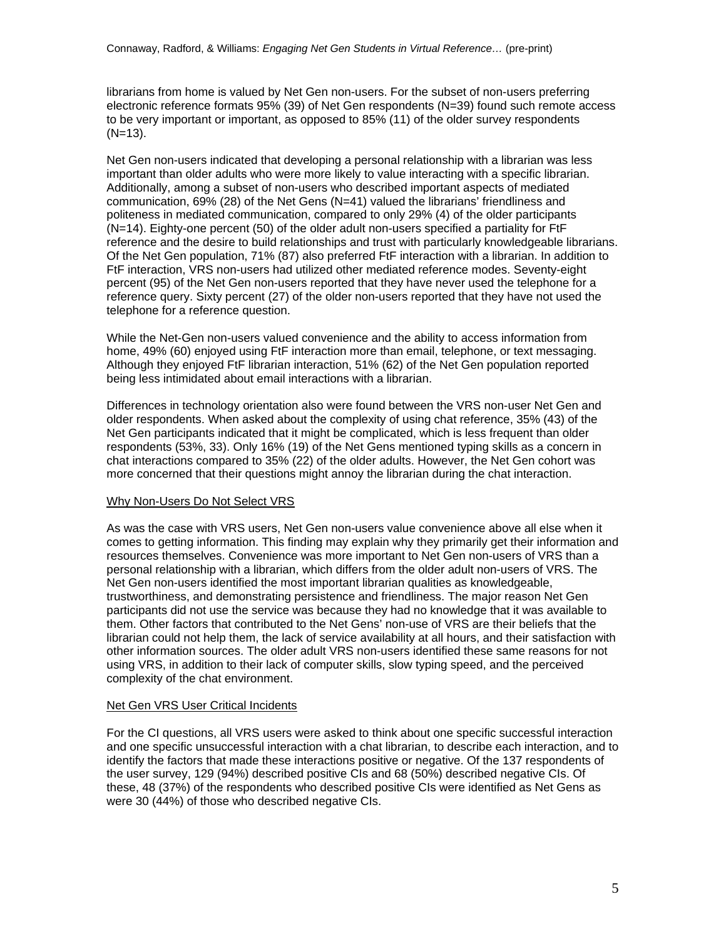librarians from home is valued by Net Gen non-users. For the subset of non-users preferring electronic reference formats 95% (39) of Net Gen respondents (N=39) found such remote access to be very important or important, as opposed to 85% (11) of the older survey respondents  $(N=13)$ .

Net Gen non-users indicated that developing a personal relationship with a librarian was less important than older adults who were more likely to value interacting with a specific librarian. Additionally, among a subset of non-users who described important aspects of mediated communication, 69% (28) of the Net Gens (N=41) valued the librarians' friendliness and politeness in mediated communication, compared to only 29% (4) of the older participants (N=14). Eighty-one percent (50) of the older adult non-users specified a partiality for FtF reference and the desire to build relationships and trust with particularly knowledgeable librarians. Of the Net Gen population, 71% (87) also preferred FtF interaction with a librarian. In addition to FtF interaction, VRS non-users had utilized other mediated reference modes. Seventy-eight percent (95) of the Net Gen non-users reported that they have never used the telephone for a reference query. Sixty percent (27) of the older non-users reported that they have not used the telephone for a reference question.

While the Net-Gen non-users valued convenience and the ability to access information from home, 49% (60) enjoyed using FtF interaction more than email, telephone, or text messaging. Although they enjoyed FtF librarian interaction, 51% (62) of the Net Gen population reported being less intimidated about email interactions with a librarian.

Differences in technology orientation also were found between the VRS non-user Net Gen and older respondents. When asked about the complexity of using chat reference, 35% (43) of the Net Gen participants indicated that it might be complicated, which is less frequent than older respondents (53%, 33). Only 16% (19) of the Net Gens mentioned typing skills as a concern in chat interactions compared to 35% (22) of the older adults. However, the Net Gen cohort was more concerned that their questions might annoy the librarian during the chat interaction.

### Why Non-Users Do Not Select VRS

As was the case with VRS users, Net Gen non-users value convenience above all else when it comes to getting information. This finding may explain why they primarily get their information and resources themselves. Convenience was more important to Net Gen non-users of VRS than a personal relationship with a librarian, which differs from the older adult non-users of VRS. The Net Gen non-users identified the most important librarian qualities as knowledgeable, trustworthiness, and demonstrating persistence and friendliness. The major reason Net Gen participants did not use the service was because they had no knowledge that it was available to them. Other factors that contributed to the Net Gens' non-use of VRS are their beliefs that the librarian could not help them, the lack of service availability at all hours, and their satisfaction with other information sources. The older adult VRS non-users identified these same reasons for not using VRS, in addition to their lack of computer skills, slow typing speed, and the perceived complexity of the chat environment.

### Net Gen VRS User Critical Incidents

For the CI questions, all VRS users were asked to think about one specific successful interaction and one specific unsuccessful interaction with a chat librarian, to describe each interaction, and to identify the factors that made these interactions positive or negative. Of the 137 respondents of the user survey, 129 (94%) described positive CIs and 68 (50%) described negative CIs. Of these, 48 (37%) of the respondents who described positive CIs were identified as Net Gens as were 30 (44%) of those who described negative CIs.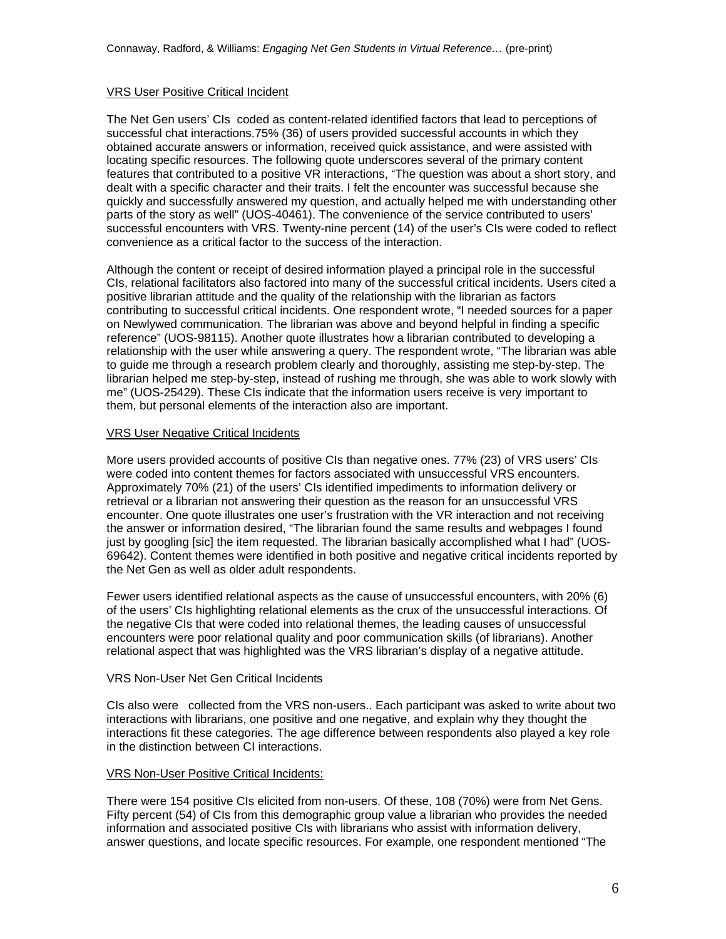# VRS User Positive Critical Incident

The Net Gen users' CIs coded as content-related identified factors that lead to perceptions of successful chat interactions.75% (36) of users provided successful accounts in which they obtained accurate answers or information, received quick assistance, and were assisted with locating specific resources. The following quote underscores several of the primary content features that contributed to a positive VR interactions, "The question was about a short story, and dealt with a specific character and their traits. I felt the encounter was successful because she quickly and successfully answered my question, and actually helped me with understanding other parts of the story as well" (UOS-40461). The convenience of the service contributed to users' successful encounters with VRS. Twenty-nine percent (14) of the user's CIs were coded to reflect convenience as a critical factor to the success of the interaction.

Although the content or receipt of desired information played a principal role in the successful CIs, relational facilitators also factored into many of the successful critical incidents. Users cited a positive librarian attitude and the quality of the relationship with the librarian as factors contributing to successful critical incidents. One respondent wrote, "I needed sources for a paper on Newlywed communication. The librarian was above and beyond helpful in finding a specific reference" (UOS-98115). Another quote illustrates how a librarian contributed to developing a relationship with the user while answering a query. The respondent wrote, "The librarian was able to guide me through a research problem clearly and thoroughly, assisting me step-by-step. The librarian helped me step-by-step, instead of rushing me through, she was able to work slowly with me" (UOS-25429). These CIs indicate that the information users receive is very important to them, but personal elements of the interaction also are important.

### VRS User Negative Critical Incidents

More users provided accounts of positive CIs than negative ones. 77% (23) of VRS users' CIs were coded into content themes for factors associated with unsuccessful VRS encounters. Approximately 70% (21) of the users' CIs identified impediments to information delivery or retrieval or a librarian not answering their question as the reason for an unsuccessful VRS encounter. One quote illustrates one user's frustration with the VR interaction and not receiving the answer or information desired, "The librarian found the same results and webpages I found just by googling [sic] the item requested. The librarian basically accomplished what I had" (UOS-69642). Content themes were identified in both positive and negative critical incidents reported by the Net Gen as well as older adult respondents.

Fewer users identified relational aspects as the cause of unsuccessful encounters, with 20% (6) of the users' CIs highlighting relational elements as the crux of the unsuccessful interactions. Of the negative CIs that were coded into relational themes, the leading causes of unsuccessful encounters were poor relational quality and poor communication skills (of librarians). Another relational aspect that was highlighted was the VRS librarian's display of a negative attitude.

### VRS Non-User Net Gen Critical Incidents

CIs also were collected from the VRS non-users.. Each participant was asked to write about two interactions with librarians, one positive and one negative, and explain why they thought the interactions fit these categories. The age difference between respondents also played a key role in the distinction between CI interactions.

### VRS Non-User Positive Critical Incidents:

There were 154 positive CIs elicited from non-users. Of these, 108 (70%) were from Net Gens. Fifty percent (54) of CIs from this demographic group value a librarian who provides the needed information and associated positive CIs with librarians who assist with information delivery, answer questions, and locate specific resources. For example, one respondent mentioned "The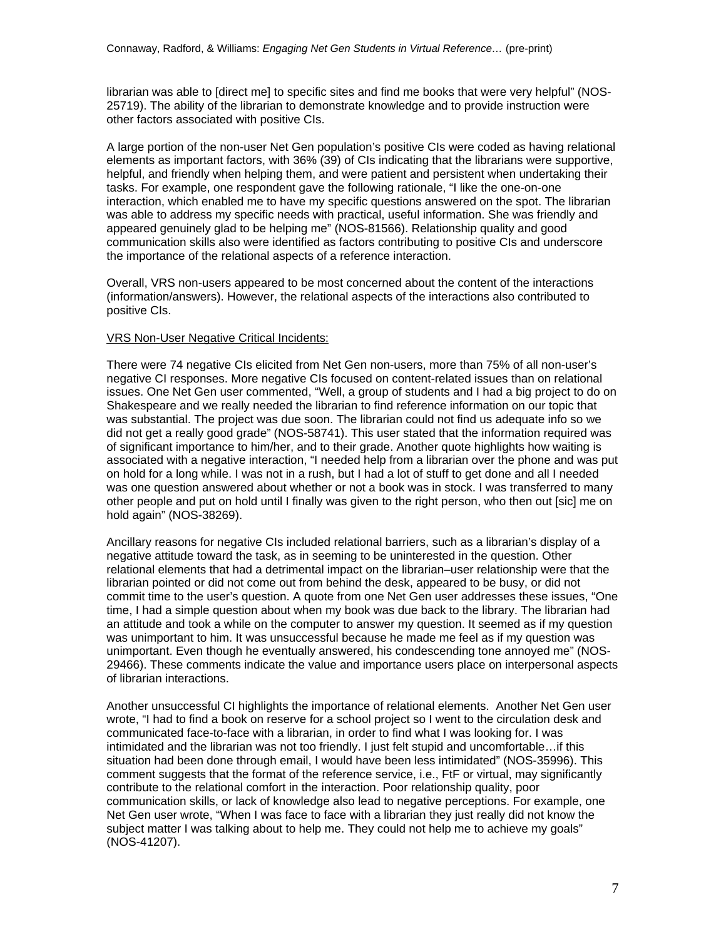librarian was able to [direct me] to specific sites and find me books that were very helpful" (NOS-25719). The ability of the librarian to demonstrate knowledge and to provide instruction were other factors associated with positive CIs.

A large portion of the non-user Net Gen population's positive CIs were coded as having relational elements as important factors, with 36% (39) of CIs indicating that the librarians were supportive, helpful, and friendly when helping them, and were patient and persistent when undertaking their tasks. For example, one respondent gave the following rationale, "I like the one-on-one interaction, which enabled me to have my specific questions answered on the spot. The librarian was able to address my specific needs with practical, useful information. She was friendly and appeared genuinely glad to be helping me" (NOS-81566). Relationship quality and good communication skills also were identified as factors contributing to positive CIs and underscore the importance of the relational aspects of a reference interaction.

Overall, VRS non-users appeared to be most concerned about the content of the interactions (information/answers). However, the relational aspects of the interactions also contributed to positive CIs.

#### VRS Non-User Negative Critical Incidents:

There were 74 negative CIs elicited from Net Gen non-users, more than 75% of all non-user's negative CI responses. More negative CIs focused on content-related issues than on relational issues. One Net Gen user commented, "Well, a group of students and I had a big project to do on Shakespeare and we really needed the librarian to find reference information on our topic that was substantial. The project was due soon. The librarian could not find us adequate info so we did not get a really good grade" (NOS-58741). This user stated that the information required was of significant importance to him/her, and to their grade. Another quote highlights how waiting is associated with a negative interaction, "I needed help from a librarian over the phone and was put on hold for a long while. I was not in a rush, but I had a lot of stuff to get done and all I needed was one question answered about whether or not a book was in stock. I was transferred to many other people and put on hold until I finally was given to the right person, who then out [sic] me on hold again" (NOS-38269).

Ancillary reasons for negative CIs included relational barriers, such as a librarian's display of a negative attitude toward the task, as in seeming to be uninterested in the question. Other relational elements that had a detrimental impact on the librarian–user relationship were that the librarian pointed or did not come out from behind the desk, appeared to be busy, or did not commit time to the user's question. A quote from one Net Gen user addresses these issues, "One time, I had a simple question about when my book was due back to the library. The librarian had an attitude and took a while on the computer to answer my question. It seemed as if my question was unimportant to him. It was unsuccessful because he made me feel as if my question was unimportant. Even though he eventually answered, his condescending tone annoyed me" (NOS-29466). These comments indicate the value and importance users place on interpersonal aspects of librarian interactions.

Another unsuccessful CI highlights the importance of relational elements. Another Net Gen user wrote, "I had to find a book on reserve for a school project so I went to the circulation desk and communicated face-to-face with a librarian, in order to find what I was looking for. I was intimidated and the librarian was not too friendly. I just felt stupid and uncomfortable…if this situation had been done through email, I would have been less intimidated" (NOS-35996). This comment suggests that the format of the reference service, i.e., FtF or virtual, may significantly contribute to the relational comfort in the interaction. Poor relationship quality, poor communication skills, or lack of knowledge also lead to negative perceptions. For example, one Net Gen user wrote, "When I was face to face with a librarian they just really did not know the subject matter I was talking about to help me. They could not help me to achieve my goals" (NOS-41207).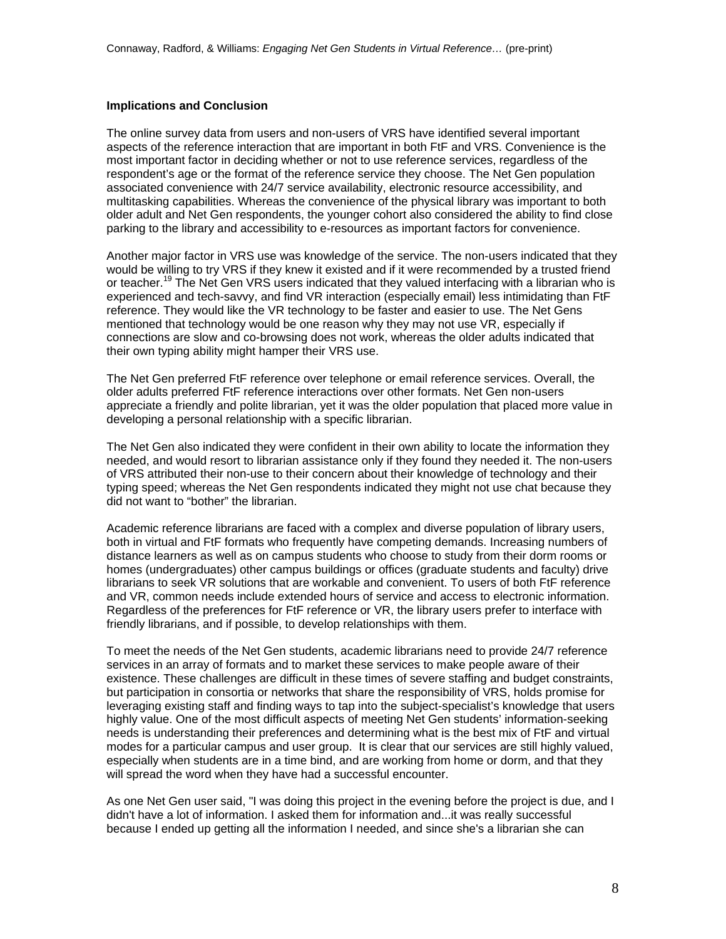#### **Implications and Conclusion**

The online survey data from users and non-users of VRS have identified several important aspects of the reference interaction that are important in both FtF and VRS. Convenience is the most important factor in deciding whether or not to use reference services, regardless of the respondent's age or the format of the reference service they choose. The Net Gen population associated convenience with 24/7 service availability, electronic resource accessibility, and multitasking capabilities. Whereas the convenience of the physical library was important to both older adult and Net Gen respondents, the younger cohort also considered the ability to find close parking to the library and accessibility to e-resources as important factors for convenience.

Another major factor in VRS use was knowledge of the service. The non-users indicated that they would be willing to try VRS if they knew it existed and if it were recommended by a trusted friend or teacher.<sup>19</sup> The Net Gen VRS users indicated that they valued interfacing with a librarian who is experienced and tech-savvy, and find VR interaction (especially email) less intimidating than FtF reference. They would like the VR technology to be faster and easier to use. The Net Gens mentioned that technology would be one reason why they may not use VR, especially if connections are slow and co-browsing does not work, whereas the older adults indicated that their own typing ability might hamper their VRS use.

The Net Gen preferred FtF reference over telephone or email reference services. Overall, the older adults preferred FtF reference interactions over other formats. Net Gen non-users appreciate a friendly and polite librarian, yet it was the older population that placed more value in developing a personal relationship with a specific librarian.

The Net Gen also indicated they were confident in their own ability to locate the information they needed, and would resort to librarian assistance only if they found they needed it. The non-users of VRS attributed their non-use to their concern about their knowledge of technology and their typing speed; whereas the Net Gen respondents indicated they might not use chat because they did not want to "bother" the librarian.

Academic reference librarians are faced with a complex and diverse population of library users, both in virtual and FtF formats who frequently have competing demands. Increasing numbers of distance learners as well as on campus students who choose to study from their dorm rooms or homes (undergraduates) other campus buildings or offices (graduate students and faculty) drive librarians to seek VR solutions that are workable and convenient. To users of both FtF reference and VR, common needs include extended hours of service and access to electronic information. Regardless of the preferences for FtF reference or VR, the library users prefer to interface with friendly librarians, and if possible, to develop relationships with them.

To meet the needs of the Net Gen students, academic librarians need to provide 24/7 reference services in an array of formats and to market these services to make people aware of their existence. These challenges are difficult in these times of severe staffing and budget constraints, but participation in consortia or networks that share the responsibility of VRS, holds promise for leveraging existing staff and finding ways to tap into the subject-specialist's knowledge that users highly value. One of the most difficult aspects of meeting Net Gen students' information-seeking needs is understanding their preferences and determining what is the best mix of FtF and virtual modes for a particular campus and user group. It is clear that our services are still highly valued, especially when students are in a time bind, and are working from home or dorm, and that they will spread the word when they have had a successful encounter.

As one Net Gen user said, "I was doing this project in the evening before the project is due, and I didn't have a lot of information. I asked them for information and...it was really successful because I ended up getting all the information I needed, and since she's a librarian she can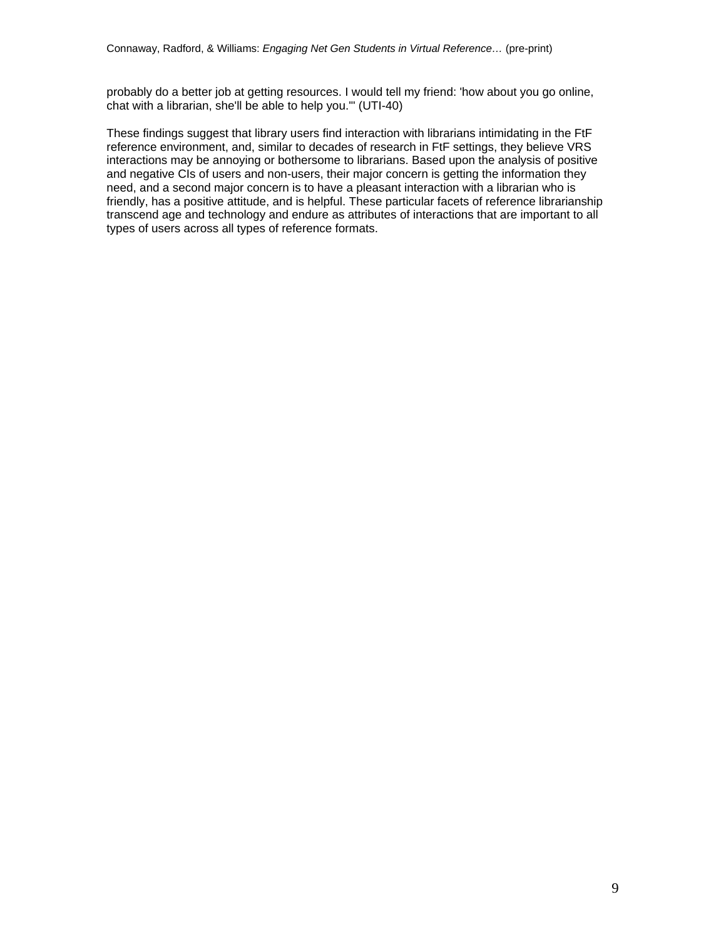probably do a better job at getting resources. I would tell my friend: 'how about you go online, chat with a librarian, she'll be able to help you.'" (UTI-40)

These findings suggest that library users find interaction with librarians intimidating in the FtF reference environment, and, similar to decades of research in FtF settings, they believe VRS interactions may be annoying or bothersome to librarians. Based upon the analysis of positive and negative CIs of users and non-users, their major concern is getting the information they need, and a second major concern is to have a pleasant interaction with a librarian who is friendly, has a positive attitude, and is helpful. These particular facets of reference librarianship transcend age and technology and endure as attributes of interactions that are important to all types of users across all types of reference formats.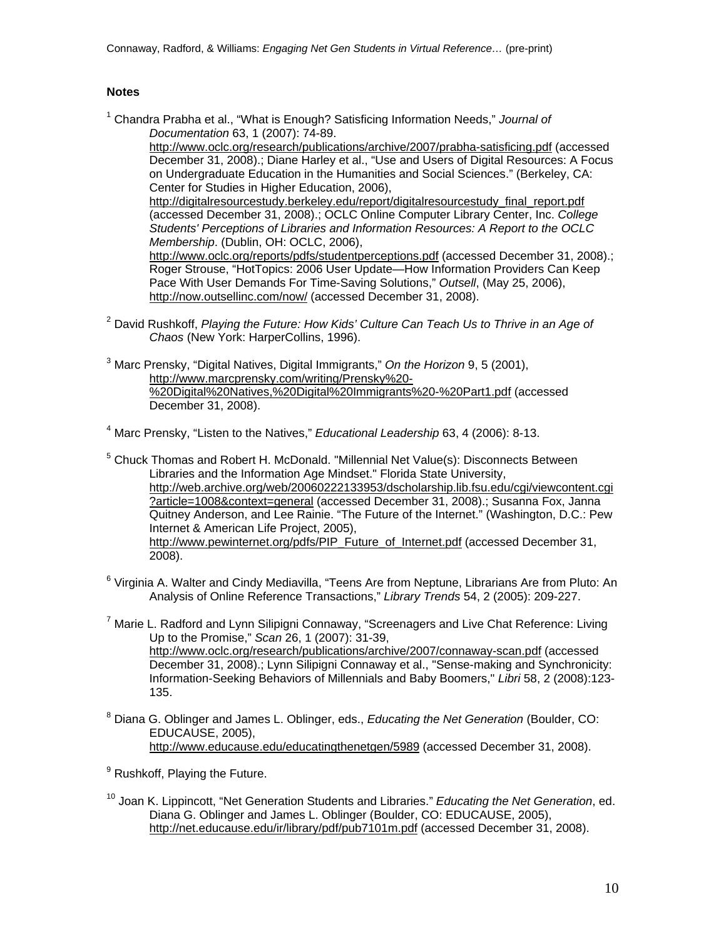# **Notes**

<sup>1</sup> Chandra Prabha et al., "What is Enough? Satisficing Information Needs," Journal of *Documentation* 63, 1 (2007): 74-89.

<http://www.oclc.org/research/publications/archive/2007/prabha-satisficing.pdf>(accessed December 31, 2008).; Diane Harley et al., "Use and Users of Digital Resources: A Focus on Undergraduate Education in the Humanities and Social Sciences." (Berkeley, CA: Center for Studies in Higher Education, 2006),

http://digitalresourcestudy.berkeley.edu/report/digitalresourcestudy final report.pdf (accessed December 31, 2008).; OCLC Online Computer Library Center, Inc. *College Students' Perceptions of Libraries and Information Resources: A Report to the OCLC Membership*. (Dublin, OH: OCLC, 2006),

<http://www.oclc.org/reports/pdfs/studentperceptions.pdf> (accessed December 31, 2008).; Roger Strouse, "HotTopics: 2006 User Update—How Information Providers Can Keep Pace With User Demands For Time-Saving Solutions," *Outsell*, (May 25, 2006), <http://now.outsellinc.com/now/> (accessed December 31, 2008).

- <sup>2</sup> David Rushkoff, *Playing the Future: How Kids' Culture Can Teach Us to Thrive in an Age of Chaos* (New York: HarperCollins, 1996).
- 3 Marc Prensky, "Digital Natives, Digital Immigrants," *On the Horizon* 9, 5 (2001), [http://www.marcprensky.com/writing/Prensky%20-](http://www.marcprensky.com/writing/Prensky%20-%20Digital%20Natives,%20Digital%20Immigrants%20-%20Part1.pdf) [%20Digital%20Natives,%20Digital%20Immigrants%20-%20Part1.pdf](http://www.marcprensky.com/writing/Prensky%20-%20Digital%20Natives,%20Digital%20Immigrants%20-%20Part1.pdf) (accessed December 31, 2008).

4 Marc Prensky, "Listen to the Natives," *Educational Leadership* 63, 4 (2006): 8-13.

- <sup>5</sup> Chuck Thomas and Robert H. McDonald. "Millennial Net Value(s): Disconnects Between Libraries and the Information Age Mindset." Florida State University, [http://web.archive.org/web/20060222133953/dscholarship.lib.fsu.edu/cgi/viewcontent.cgi](http://web.archive.org/web/20060222133953/dscholarship.lib.fsu.edu/cgi/viewcontent.cgi?article=1008&context=general) [?article=1008&context=general](http://web.archive.org/web/20060222133953/dscholarship.lib.fsu.edu/cgi/viewcontent.cgi?article=1008&context=general) (accessed December 31, 2008).; Susanna Fox, Janna Quitney Anderson, and Lee Rainie. "The Future of the Internet." (Washington, D.C.: Pew Internet & American Life Project, 2005), [http://www.pewinternet.org/pdfs/PIP\\_Future\\_of\\_Internet.pdf](http://www.pewinternet.org/pdfs/PIP_Future_of_Internet.pdf) (accessed December 31, 2008).
- <sup>6</sup> Virginia A. Walter and Cindy Mediavilla, "Teens Are from Neptune, Librarians Are from Pluto: An Analysis of Online Reference Transactions," *Library Trends* 54, 2 (2005): 209-227.
- <sup>7</sup> Marie L. Radford and Lynn Silipigni Connaway, "Screenagers and Live Chat Reference: Living Up to the Promise," *Scan* 26, 1 (2007): 31-39, <http://www.oclc.org/research/publications/archive/2007/connaway-scan.pdf>(accessed December 31, 2008).; Lynn Silipigni Connaway et al., "Sense-making and Synchronicity: Information-Seeking Behaviors of Millennials and Baby Boomers," *Libri* 58, 2 (2008):123- 135.
- 8 Diana G. Oblinger and James L. Oblinger, eds., *Educating the Net Generation* (Boulder, CO: EDUCAUSE, 2005), <http://www.educause.edu/educatingthenetgen/5989>(accessed December 31, 2008).

<sup>9</sup> Rushkoff, Playing the Future.

10 Joan K. Lippincott, "Net Generation Students and Libraries." *Educating the Net Generation*, ed. Diana G. Oblinger and James L. Oblinger (Boulder, CO: EDUCAUSE, 2005), <http://net.educause.edu/ir/library/pdf/pub7101m.pdf> (accessed December 31, 2008).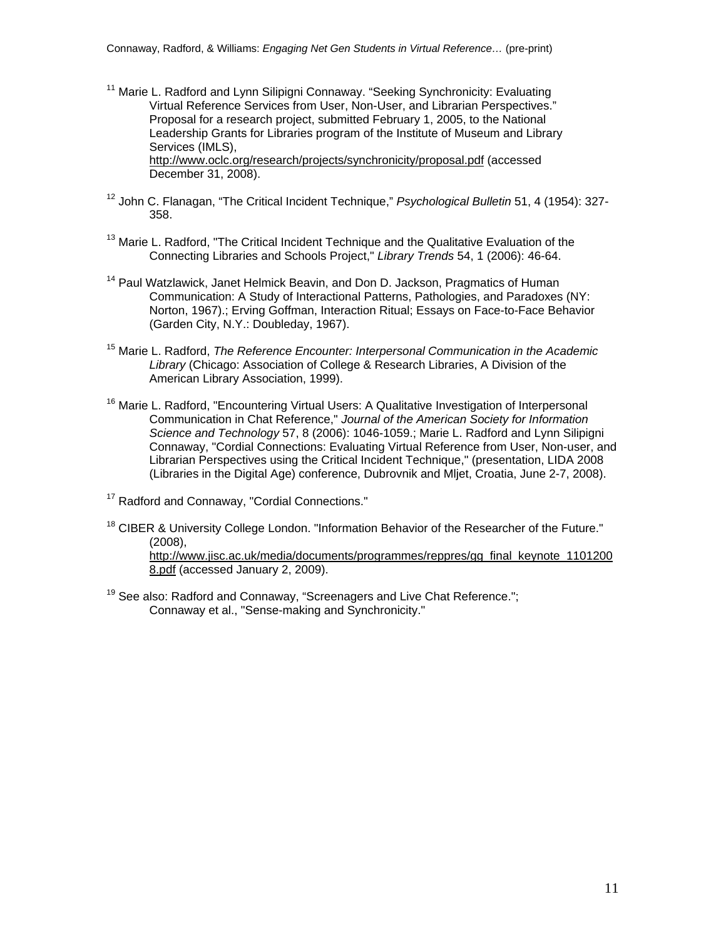- <sup>11</sup> Marie L. Radford and Lynn Silipigni Connaway. "Seeking Synchronicity: Evaluating Virtual Reference Services from User, Non-User, and Librarian Perspectives." Proposal for a research project, submitted February 1, 2005, to the National Leadership Grants for Libraries program of the Institute of Museum and Library Services (IMLS), <http://www.oclc.org/research/projects/synchronicity/proposal.pdf> (accessed December 31, 2008).
- 12 John C. Flanagan, "The Critical Incident Technique," *Psychological Bulletin* 51, 4 (1954): 327- 358.
- <sup>13</sup> Marie L. Radford, "The Critical Incident Technique and the Qualitative Evaluation of the Connecting Libraries and Schools Project," *Library Trends* 54, 1 (2006): 46-64.
- <sup>14</sup> Paul Watzlawick, Janet Helmick Beavin, and Don D. Jackson, Pragmatics of Human Communication: A Study of Interactional Patterns, Pathologies, and Paradoxes (NY: Norton, 1967).; Erving Goffman, Interaction Ritual; Essays on Face-to-Face Behavior (Garden City, N.Y.: Doubleday, 1967).
- 15 Marie L. Radford, *The Reference Encounter: Interpersonal Communication in the Academic Library* (Chicago: Association of College & Research Libraries, A Division of the American Library Association, 1999).
- <sup>16</sup> Marie L. Radford, "Encountering Virtual Users: A Qualitative Investigation of Interpersonal Communication in Chat Reference," *Journal of the American Society for Information Science and Technology* 57, 8 (2006): 1046-1059.; Marie L. Radford and Lynn Silipigni Connaway, "Cordial Connections: Evaluating Virtual Reference from User, Non-user, and Librarian Perspectives using the Critical Incident Technique," (presentation, LIDA 2008 (Libraries in the Digital Age) conference, Dubrovnik and Mljet, Croatia, June 2-7, 2008).
- <sup>17</sup> Radford and Connaway, "Cordial Connections."
- $18$  CIBER & University College London. "Information Behavior of the Researcher of the Future." (2008),

[http://www.jisc.ac.uk/media/documents/programmes/reppres/gg\\_final\\_keynote\\_1101200](http://www.jisc.ac.uk/media/documents/programmes/reppres/gg_final_keynote_11012008.pdf) [8.pdf](http://www.jisc.ac.uk/media/documents/programmes/reppres/gg_final_keynote_11012008.pdf) (accessed January 2, 2009).

<sup>19</sup> See also: Radford and Connaway, "Screenagers and Live Chat Reference."; Connaway et al., "Sense-making and Synchronicity."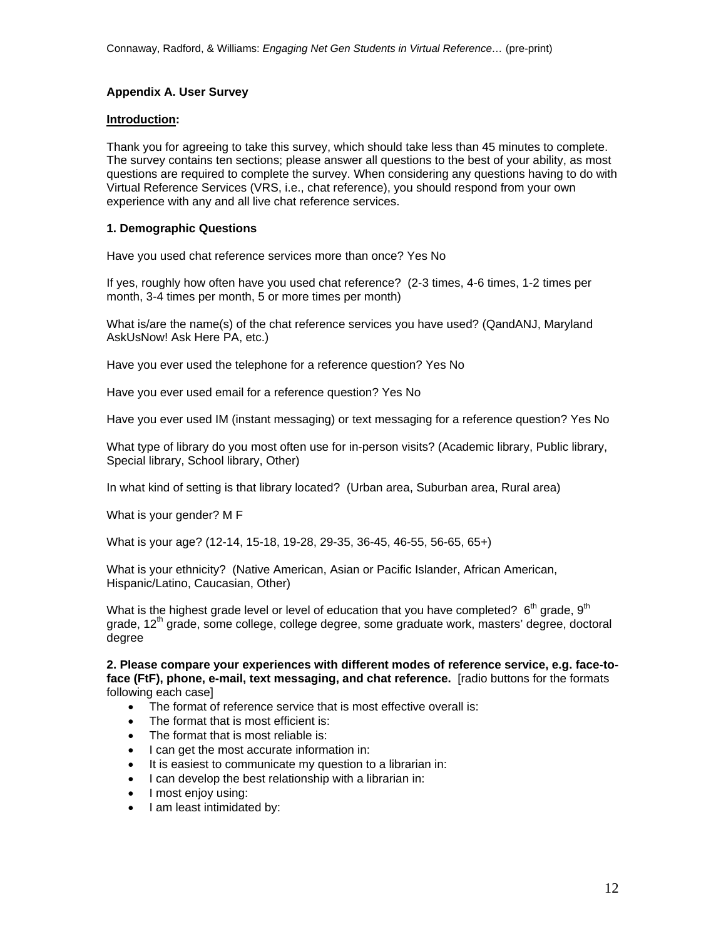# **Appendix A. User Survey**

#### **Introduction:**

Thank you for agreeing to take this survey, which should take less than 45 minutes to complete. The survey contains ten sections; please answer all questions to the best of your ability, as most questions are required to complete the survey. When considering any questions having to do with Virtual Reference Services (VRS, i.e., chat reference), you should respond from your own experience with any and all live chat reference services.

# **1. Demographic Questions**

Have you used chat reference services more than once? Yes No

If yes, roughly how often have you used chat reference? (2-3 times, 4-6 times, 1-2 times per month, 3-4 times per month, 5 or more times per month)

What is/are the name(s) of the chat reference services you have used? (QandANJ, Maryland AskUsNow! Ask Here PA, etc.)

Have you ever used the telephone for a reference question? Yes No

Have you ever used email for a reference question? Yes No

Have you ever used IM (instant messaging) or text messaging for a reference question? Yes No

What type of library do you most often use for in-person visits? (Academic library, Public library, Special library, School library, Other)

In what kind of setting is that library located? (Urban area, Suburban area, Rural area)

What is your gender? M F

What is your age? (12-14, 15-18, 19-28, 29-35, 36-45, 46-55, 56-65, 65+)

What is your ethnicity? (Native American, Asian or Pacific Islander, African American, Hispanic/Latino, Caucasian, Other)

What is the highest grade level or level of education that you have completed?  $6<sup>th</sup>$  grade,  $9<sup>th</sup>$ grade, 12<sup>th</sup> grade, some college, college degree, some graduate work, masters' degree, doctoral degree

**2. Please compare your experiences with different modes of reference service, e.g. face-toface (FtF), phone, e-mail, text messaging, and chat reference.** [radio buttons for the formats following each case]

- The format of reference service that is most effective overall is:
- The format that is most efficient is:
- The format that is most reliable is:
- I can get the most accurate information in:
- It is easiest to communicate my question to a librarian in:
- I can develop the best relationship with a librarian in:
- I most enjoy using:
- I am least intimidated by: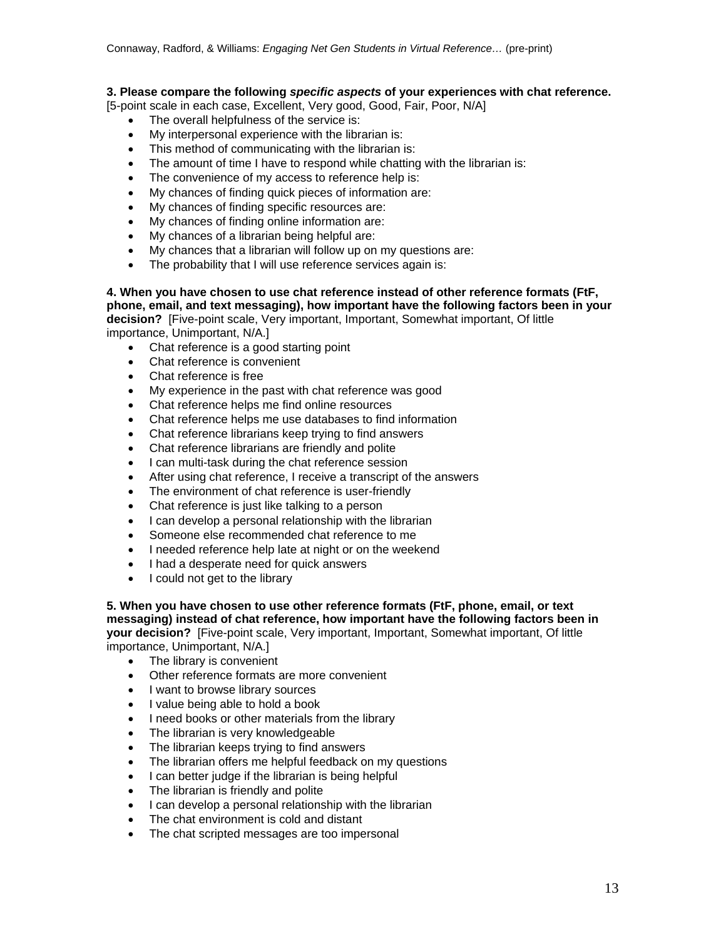# **3. Please compare the following** *specific aspects* **of your experiences with chat reference.**

[5-point scale in each case, Excellent, Very good, Good, Fair, Poor, N/A]

- The overall helpfulness of the service is:
- My interpersonal experience with the librarian is:
- This method of communicating with the librarian is:
- The amount of time I have to respond while chatting with the librarian is:
- The convenience of my access to reference help is:
- My chances of finding quick pieces of information are:
- My chances of finding specific resources are:
- My chances of finding online information are:
- My chances of a librarian being helpful are:
- My chances that a librarian will follow up on my questions are:
- The probability that I will use reference services again is:

**4. When you have chosen to use chat reference instead of other reference formats (FtF, phone, email, and text messaging), how important have the following factors been in your decision?** [Five-point scale, Very important, Important, Somewhat important, Of little importance, Unimportant, N/A.]

- Chat reference is a good starting point
- Chat reference is convenient
- Chat reference is free
- My experience in the past with chat reference was good
- Chat reference helps me find online resources
- Chat reference helps me use databases to find information
- Chat reference librarians keep trying to find answers
- Chat reference librarians are friendly and polite
- I can multi-task during the chat reference session
- After using chat reference, I receive a transcript of the answers
- The environment of chat reference is user-friendly
- Chat reference is just like talking to a person
- I can develop a personal relationship with the librarian
- Someone else recommended chat reference to me
- I needed reference help late at night or on the weekend
- I had a desperate need for quick answers
- $\bullet$  I could not get to the library

**5. When you have chosen to use other reference formats (FtF, phone, email, or text messaging) instead of chat reference, how important have the following factors been in your decision?** [Five-point scale, Very important, Important, Somewhat important, Of little importance, Unimportant, N/A.]

- The library is convenient
- Other reference formats are more convenient
- I want to browse library sources
- I value being able to hold a book
- I need books or other materials from the library
- The librarian is very knowledgeable
- The librarian keeps trying to find answers
- The librarian offers me helpful feedback on my questions
- I can better judge if the librarian is being helpful
- The librarian is friendly and polite
- I can develop a personal relationship with the librarian
- The chat environment is cold and distant
- The chat scripted messages are too impersonal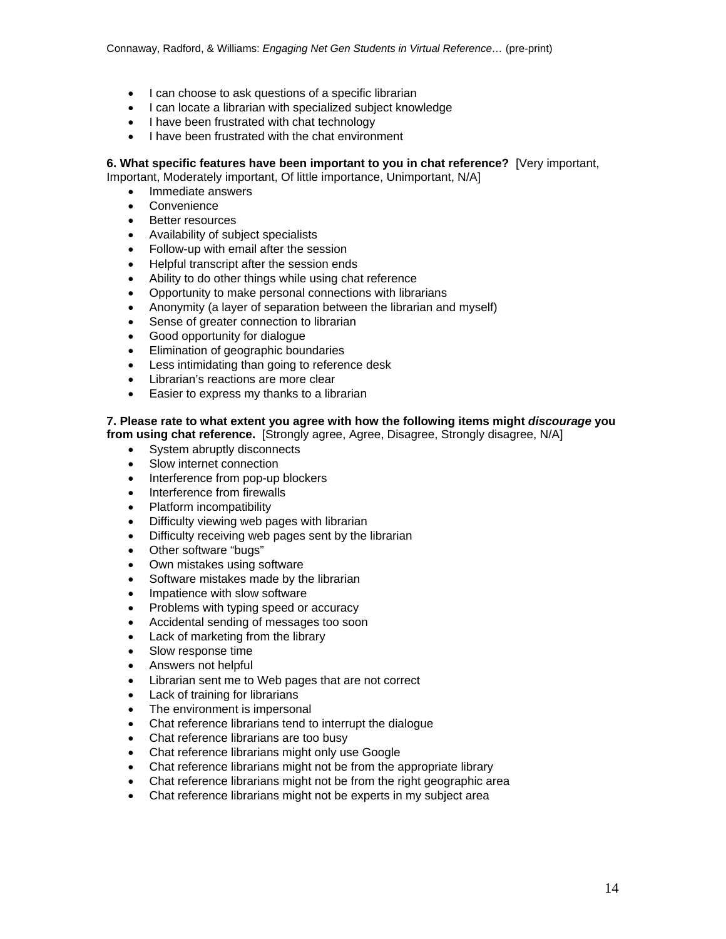- I can choose to ask questions of a specific librarian
- I can locate a librarian with specialized subject knowledge
- I have been frustrated with chat technology
- I have been frustrated with the chat environment

# **6. What specific features have been important to you in chat reference?** [Very important,

Important, Moderately important, Of little importance, Unimportant, N/A]

- Immediate answers
- **Convenience**
- Better resources
- Availability of subject specialists
- Follow-up with email after the session
- Helpful transcript after the session ends
- Ability to do other things while using chat reference
- Opportunity to make personal connections with librarians
- Anonymity (a layer of separation between the librarian and myself)
- Sense of greater connection to librarian
- Good opportunity for dialogue
- Elimination of geographic boundaries
- Less intimidating than going to reference desk
- Librarian's reactions are more clear
- **Easier to express my thanks to a librarian**

# **7. Please rate to what extent you agree with how the following items might** *discourage* **you**

**from using chat reference.** [Strongly agree, Agree, Disagree, Strongly disagree, N/A]

- System abruptly disconnects
- Slow internet connection
- Interference from pop-up blockers
- Interference from firewalls
- Platform incompatibility
- Difficulty viewing web pages with librarian
- Difficulty receiving web pages sent by the librarian
- Other software "bugs"
- Own mistakes using software
- Software mistakes made by the librarian
- Impatience with slow software
- Problems with typing speed or accuracy
- Accidental sending of messages too soon
- Lack of marketing from the library
- Slow response time
- Answers not helpful
- Librarian sent me to Web pages that are not correct
- Lack of training for librarians
- The environment is impersonal
- Chat reference librarians tend to interrupt the dialogue
- Chat reference librarians are too busy
- Chat reference librarians might only use Google
- Chat reference librarians might not be from the appropriate library
- Chat reference librarians might not be from the right geographic area
- Chat reference librarians might not be experts in my subject area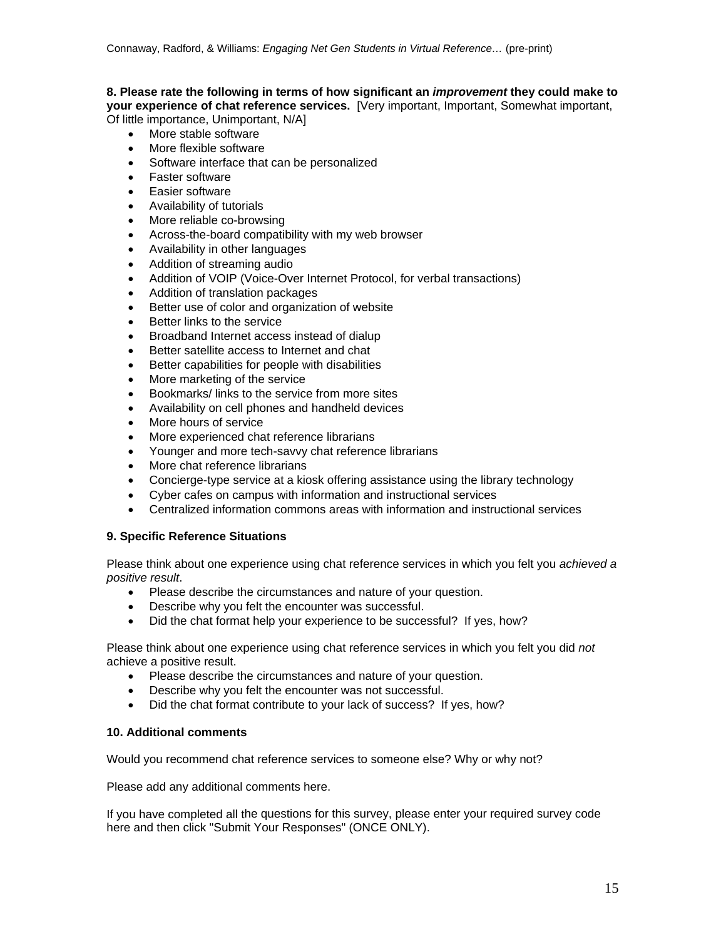#### **8. Please rate the following in terms of how significant an** *improvement* **they could make to your experience of chat reference services.** [Very important, Important, Somewhat important, Of little importance, Unimportant, N/A]

- More stable software
- More flexible software
- Software interface that can be personalized
- Faster software
- Easier software
- Availability of tutorials
- More reliable co-browsing
- Across-the-board compatibility with my web browser
- Availability in other languages
- Addition of streaming audio
- Addition of VOIP (Voice-Over Internet Protocol, for verbal transactions)
- Addition of translation packages
- Better use of color and organization of website
- Better links to the service
- Broadband Internet access instead of dialup
- Better satellite access to Internet and chat
- Better capabilities for people with disabilities
- More marketing of the service
- Bookmarks/ links to the service from more sites
- Availability on cell phones and handheld devices
- More hours of service
- More experienced chat reference librarians
- Younger and more tech-savvy chat reference librarians
- More chat reference librarians
- Concierge-type service at a kiosk offering assistance using the library technology
- Cyber cafes on campus with information and instructional services
- Centralized information commons areas with information and instructional services

# **9. Specific Reference Situations**

Please think about one experience using chat reference services in which you felt you *achieved a positive result*.

- Please describe the circumstances and nature of your question.
- Describe why you felt the encounter was successful.
- Did the chat format help your experience to be successful? If yes, how?

Please think about one experience using chat reference services in which you felt you did *not*  achieve a positive result.

- Please describe the circumstances and nature of your question.
- Describe why you felt the encounter was not successful.
- Did the chat format contribute to your lack of success? If yes, how?

# **10. Additional comments**

Would you recommend chat reference services to someone else? Why or why not?

Please add any additional comments here.

If you have completed all the questions for this survey, please enter your required survey code here and then click "Submit Your Responses" (ONCE ONLY).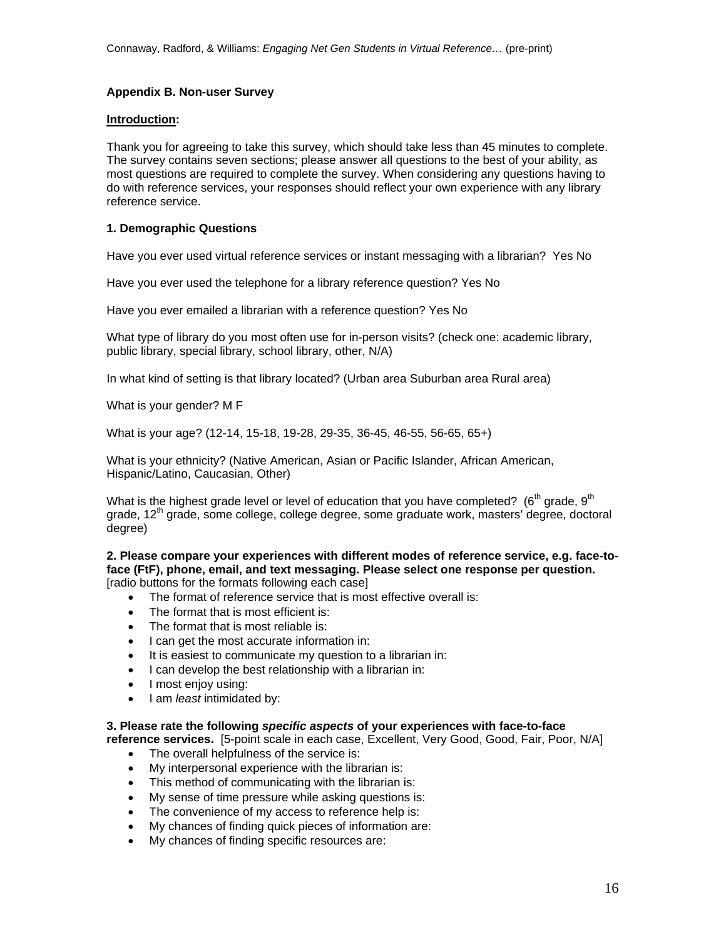# **Appendix B. Non-user Survey**

#### **Introduction:**

Thank you for agreeing to take this survey, which should take less than 45 minutes to complete. The survey contains seven sections; please answer all questions to the best of your ability, as most questions are required to complete the survey. When considering any questions having to do with reference services, your responses should reflect your own experience with any library reference service.

# **1. Demographic Questions**

Have you ever used virtual reference services or instant messaging with a librarian? Yes No

Have you ever used the telephone for a library reference question? Yes No

Have you ever emailed a librarian with a reference question? Yes No

What type of library do you most often use for in-person visits? (check one: academic library, public library, special library, school library, other, N/A)

In what kind of setting is that library located? (Urban area Suburban area Rural area)

What is your gender? M F

What is your age? (12-14, 15-18, 19-28, 29-35, 36-45, 46-55, 56-65, 65+)

What is your ethnicity? (Native American, Asian or Pacific Islander, African American, Hispanic/Latino, Caucasian, Other)

What is the highest grade level or level of education that you have completed? (6<sup>th</sup> grade, 9<sup>th</sup>) grade, 12<sup>th</sup> grade, some college, college degree, some graduate work, masters' degree, doctoral degree)

**2. Please compare your experiences with different modes of reference service, e.g. face-toface (FtF), phone, email, and text messaging. Please select one response per question.**  [radio buttons for the formats following each case]

- The format of reference service that is most effective overall is:
- The format that is most efficient is:
- The format that is most reliable is:
- I can get the most accurate information in:
- It is easiest to communicate my question to a librarian in:
- $\bullet$  I can develop the best relationship with a librarian in:
- I most enjoy using:
- I am *least* intimidated by:

### **3. Please rate the following** *specific aspects* **of your experiences with face-to-face**

**reference services.** [5-point scale in each case, Excellent, Very Good, Good, Fair, Poor, N/A]

- The overall helpfulness of the service is:
- My interpersonal experience with the librarian is:
- This method of communicating with the librarian is:
- My sense of time pressure while asking questions is:
- The convenience of my access to reference help is:
- My chances of finding quick pieces of information are:
- My chances of finding specific resources are: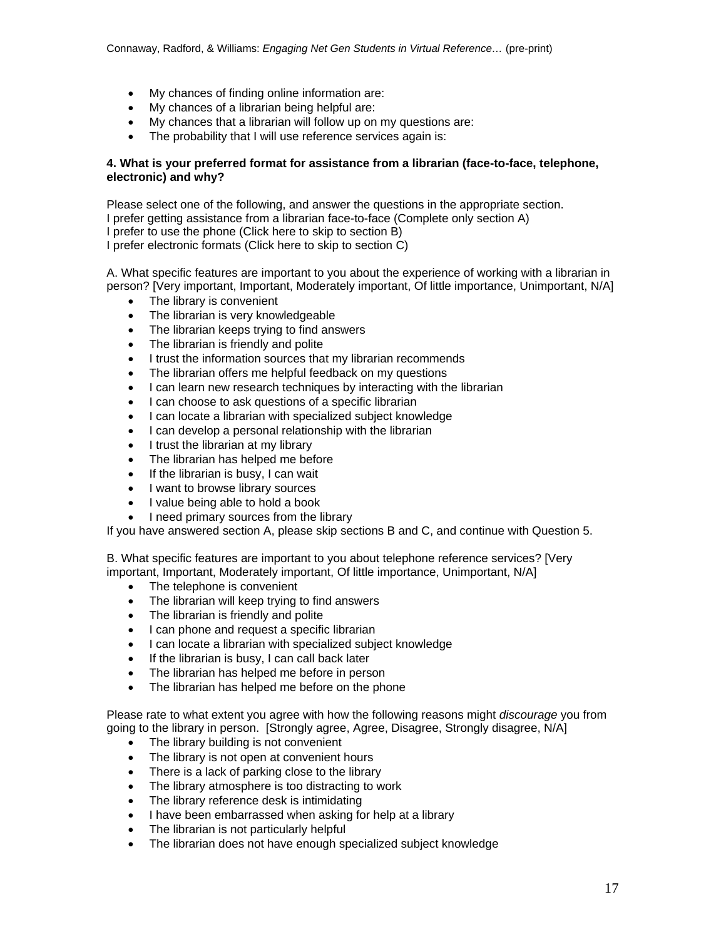- My chances of finding online information are:
- My chances of a librarian being helpful are:
- My chances that a librarian will follow up on my questions are:
- The probability that I will use reference services again is:

# **4. What is your preferred format for assistance from a librarian (face-to-face, telephone, electronic) and why?**

Please select one of the following, and answer the questions in the appropriate section. I prefer getting assistance from a librarian face-to-face (Complete only section A) I prefer to use the phone (Click here to skip to section B) I prefer electronic formats (Click here to skip to section C)

A. What specific features are important to you about the experience of working with a librarian in person? [Very important, Important, Moderately important, Of little importance, Unimportant, N/A]

- The library is convenient
- The librarian is very knowledgeable
- The librarian keeps trying to find answers
- The librarian is friendly and polite
- I trust the information sources that my librarian recommends
- The librarian offers me helpful feedback on my questions
- I can learn new research techniques by interacting with the librarian
- I can choose to ask questions of a specific librarian
- I can locate a librarian with specialized subject knowledge
- I can develop a personal relationship with the librarian
- I trust the librarian at my library
- The librarian has helped me before
- $\bullet$  If the librarian is busy, I can wait
- I want to browse library sources
- I value being able to hold a book
- I need primary sources from the library

If you have answered section A, please skip sections B and C, and continue with Question 5.

B. What specific features are important to you about telephone reference services? [Very important, Important, Moderately important, Of little importance, Unimportant, N/A]

- The telephone is convenient
- The librarian will keep trying to find answers
- The librarian is friendly and polite
- I can phone and request a specific librarian
- I can locate a librarian with specialized subject knowledge
- If the librarian is busy, I can call back later
- The librarian has helped me before in person
- The librarian has helped me before on the phone

Please rate to what extent you agree with how the following reasons might *discourage* you from going to the library in person. [Strongly agree, Agree, Disagree, Strongly disagree, N/A]

- The library building is not convenient
- The library is not open at convenient hours
- There is a lack of parking close to the library
- The library atmosphere is too distracting to work
- The library reference desk is intimidating
- I have been embarrassed when asking for help at a library
- The librarian is not particularly helpful
- The librarian does not have enough specialized subject knowledge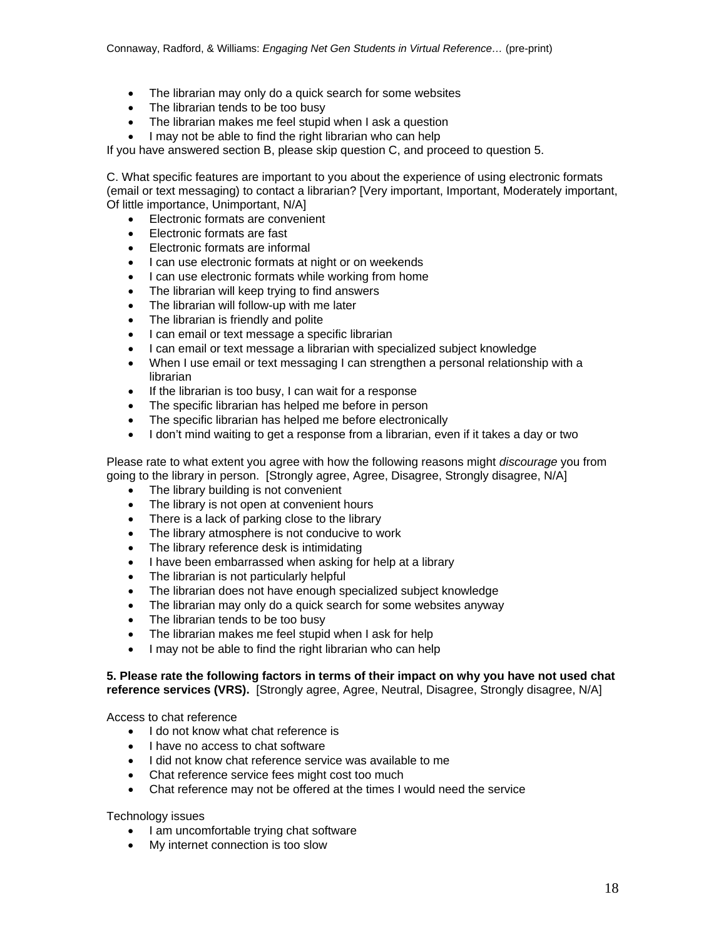- The librarian may only do a quick search for some websites
- The librarian tends to be too busy
- The librarian makes me feel stupid when I ask a question
- I may not be able to find the right librarian who can help

If you have answered section B, please skip question C, and proceed to question 5.

C. What specific features are important to you about the experience of using electronic formats (email or text messaging) to contact a librarian? [Very important, Important, Moderately important, Of little importance, Unimportant, N/A]

- Electronic formats are convenient
- Electronic formats are fast
- Electronic formats are informal
- I can use electronic formats at night or on weekends
- I can use electronic formats while working from home
- The librarian will keep trying to find answers
- The librarian will follow-up with me later
- The librarian is friendly and polite
- I can email or text message a specific librarian
- I can email or text message a librarian with specialized subject knowledge
- When I use email or text messaging I can strengthen a personal relationship with a librarian
- If the librarian is too busy, I can wait for a response
- The specific librarian has helped me before in person
- The specific librarian has helped me before electronically
- I don't mind waiting to get a response from a librarian, even if it takes a day or two

Please rate to what extent you agree with how the following reasons might *discourage* you from going to the library in person. [Strongly agree, Agree, Disagree, Strongly disagree, N/A]

- The library building is not convenient
- The library is not open at convenient hours
- There is a lack of parking close to the library
- The library atmosphere is not conducive to work
- The library reference desk is intimidating
- I have been embarrassed when asking for help at a library
- The librarian is not particularly helpful
- The librarian does not have enough specialized subject knowledge
- The librarian may only do a quick search for some websites anyway
- The librarian tends to be too busy
- The librarian makes me feel stupid when I ask for help
- I may not be able to find the right librarian who can help

#### **5. Please rate the following factors in terms of their impact on why you have not used chat**  reference services (VRS). [Strongly agree, Agree, Neutral, Disagree, Strongly disagree, N/A]

Access to chat reference

- I do not know what chat reference is
- I have no access to chat software
- I did not know chat reference service was available to me
- Chat reference service fees might cost too much
- Chat reference may not be offered at the times I would need the service

### Technology issues

- I am uncomfortable trying chat software
- My internet connection is too slow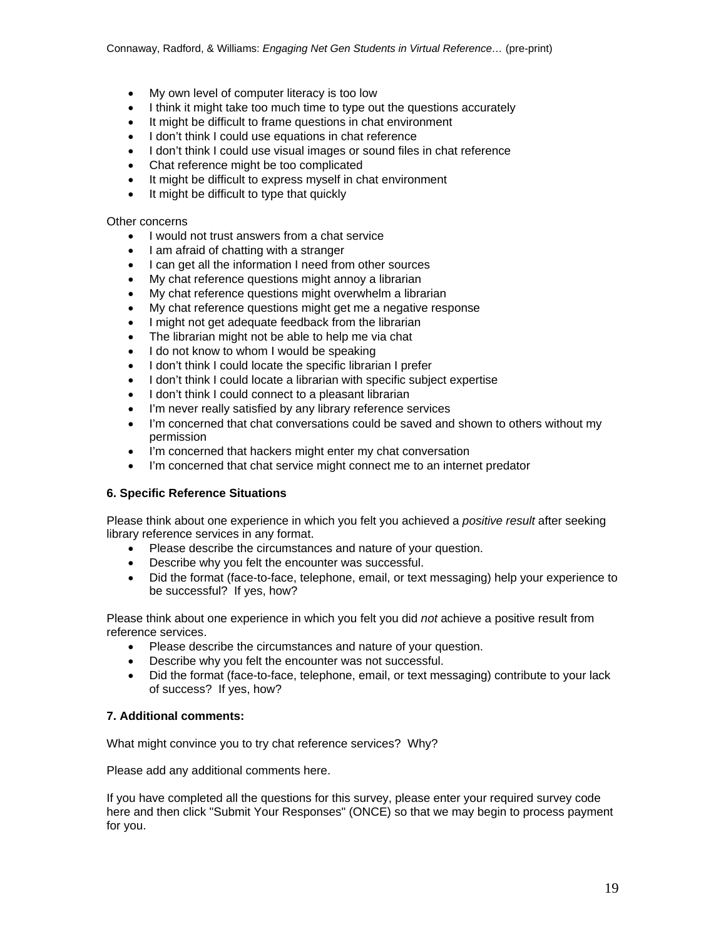- My own level of computer literacy is too low
- I think it might take too much time to type out the questions accurately
- It might be difficult to frame questions in chat environment
- I don't think I could use equations in chat reference
- I don't think I could use visual images or sound files in chat reference
- Chat reference might be too complicated
- It might be difficult to express myself in chat environment
- It might be difficult to type that quickly

#### Other concerns

- I would not trust answers from a chat service
- I am afraid of chatting with a stranger
- I can get all the information I need from other sources
- My chat reference questions might annoy a librarian
- My chat reference questions might overwhelm a librarian
- My chat reference questions might get me a negative response
- I might not get adequate feedback from the librarian
- The librarian might not be able to help me via chat
- I do not know to whom I would be speaking
- I don't think I could locate the specific librarian I prefer
- I don't think I could locate a librarian with specific subject expertise
- I don't think I could connect to a pleasant librarian
- I'm never really satisfied by any library reference services
- I'm concerned that chat conversations could be saved and shown to others without my permission
- I'm concerned that hackers might enter my chat conversation
- I'm concerned that chat service might connect me to an internet predator

### **6. Specific Reference Situations**

Please think about one experience in which you felt you achieved a *positive result* after seeking library reference services in any format.

- Please describe the circumstances and nature of your question.
- Describe why you felt the encounter was successful.
- Did the format (face-to-face, telephone, email, or text messaging) help your experience to be successful? If yes, how?

Please think about one experience in which you felt you did *not* achieve a positive result from reference services.

- Please describe the circumstances and nature of your question.
- Describe why you felt the encounter was not successful.
- Did the format (face-to-face, telephone, email, or text messaging) contribute to your lack of success? If yes, how?

### **7. Additional comments:**

What might convince you to try chat reference services? Why?

Please add any additional comments here.

If you have completed all the questions for this survey, please enter your required survey code here and then click "Submit Your Responses" (ONCE) so that we may begin to process payment for you.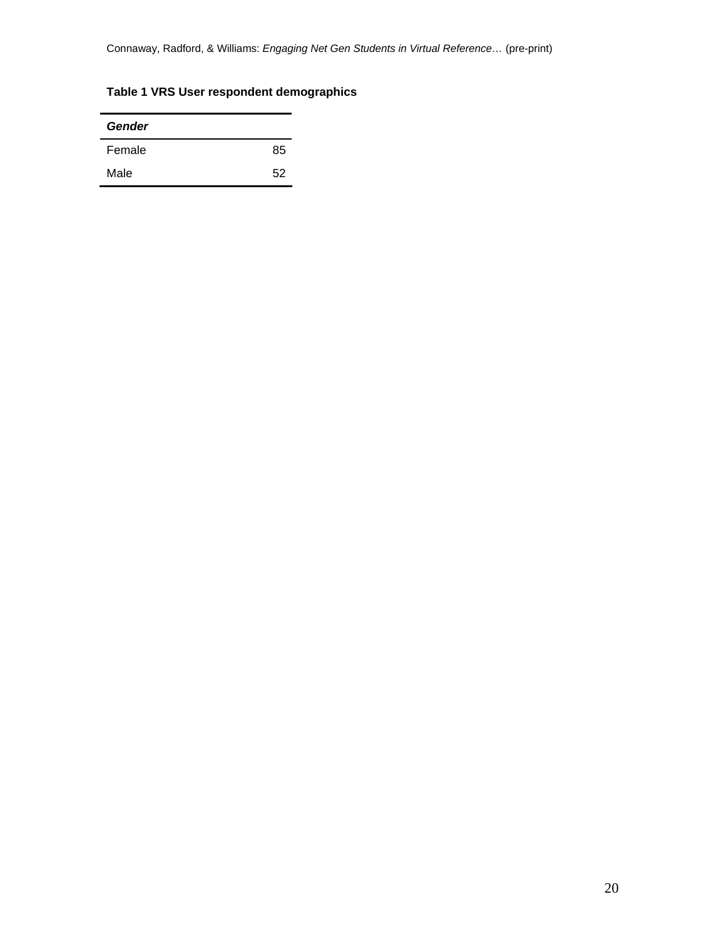Connaway, Radford, & Williams: *Engaging Net Gen Students in Virtual Reference…* (pre-print)

# **Table 1 VRS User respondent demographics**

| <b>Gender</b> |    |
|---------------|----|
| Female        | 85 |
| Male          | 52 |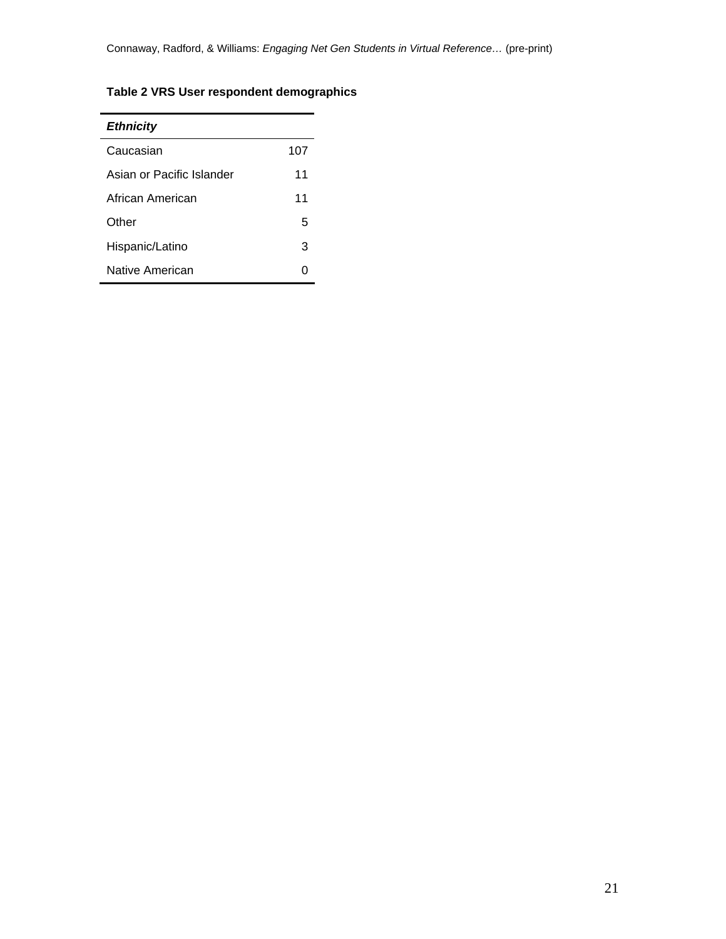# **Table 2 VRS User respondent demographics**

| <b>Ethnicity</b>          |     |
|---------------------------|-----|
| Caucasian                 | 107 |
| Asian or Pacific Islander | 11  |
| African American          | 11  |
| Other                     | 5   |
| Hispanic/Latino           | 3   |
| Native American           |     |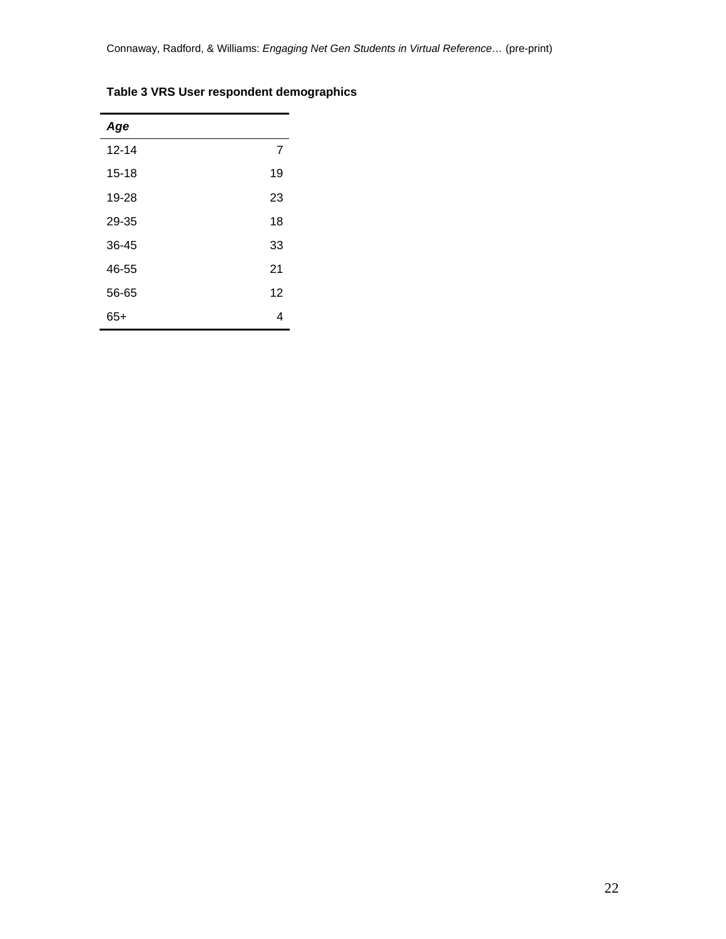| Age       |    |
|-----------|----|
| $12 - 14$ | 7  |
| $15 - 18$ | 19 |
| 19-28     | 23 |
| 29-35     | 18 |
| 36-45     | 33 |
| 46-55     | 21 |
| 56-65     | 12 |
| $65+$     | 4  |

# **Table 3 VRS User respondent demographics**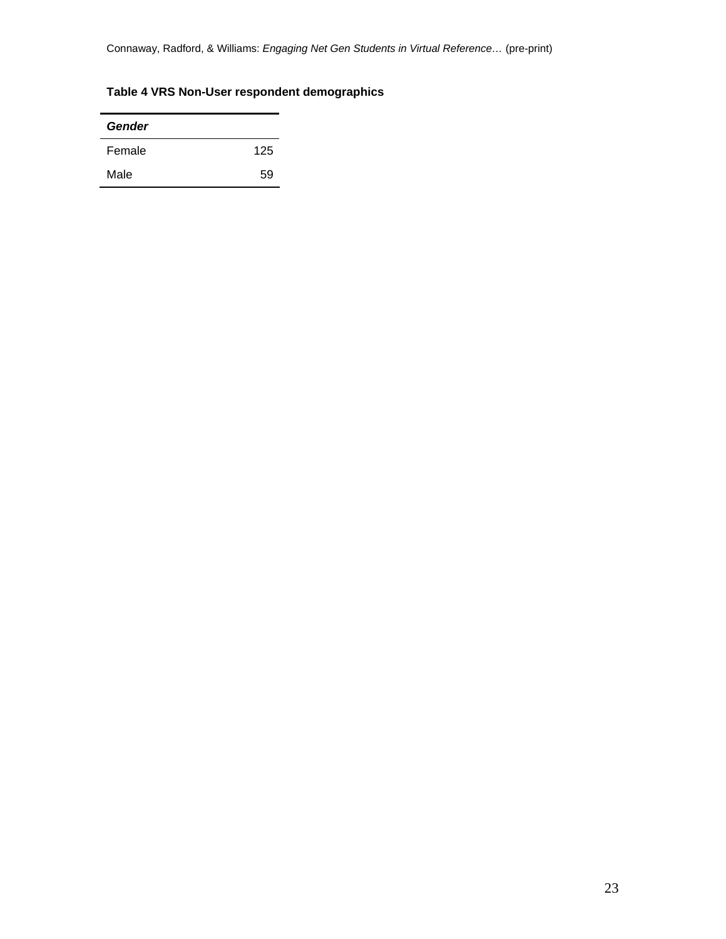Connaway, Radford, & Williams: *Engaging Net Gen Students in Virtual Reference…* (pre-print)

# **Table 4 VRS Non-User respondent demographics**

| Gender |     |
|--------|-----|
| Female | 125 |
| Male   | 59  |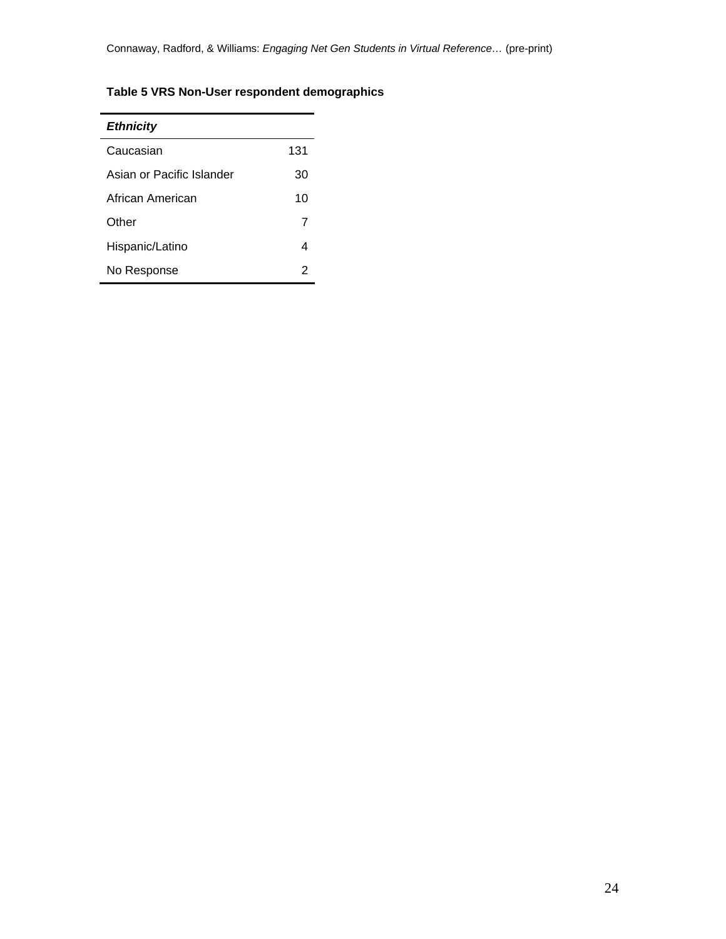# **Table 5 VRS Non-User respondent demographics**

| <b>Ethnicity</b>          |     |
|---------------------------|-----|
| Caucasian                 | 131 |
| Asian or Pacific Islander | 30  |
| African American          | 10  |
| Other                     | 7   |
| Hispanic/Latino           | 4   |
| No Response               | 2   |